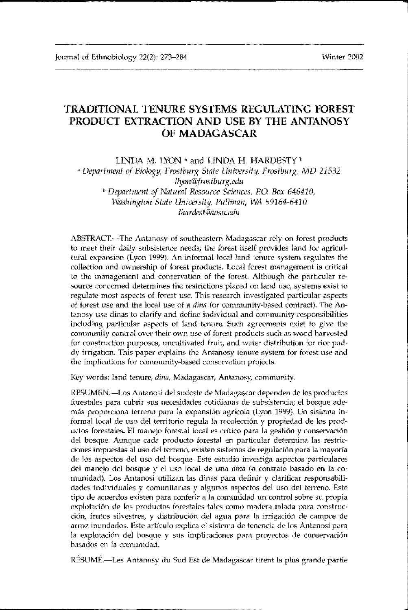# TRADITIONAL TENURE SYSTEMS REGULATING FOREST PRODUCT EXTRACTION AND USE BY THE ANTANOSY **OF MADAGASCAR**

LINDA M. LYON <sup>a</sup> and LINDA H. HARDESTY<sup>b</sup> <sup>a</sup> Department of Biology, Frostburg State University, Frostburg, MD 21532 lhjon@frostburg.edu <sup>b</sup> Department of Natural Resource Sciences, P.O. Box 646410, Washington State University, Pullman, WA 99164-6410 Bardest@usu edu

ABSTRACT.-The Antanosy of southeastern Madagascar rely on forest products to meet their daily subsistence needs; the forest itself provides land for agricultural expansion (Lyon 1999). An informal local land tenure system regulates the collection and ownership of forest products. Local forest management is critical to the management and conservation of the forest. Although the particular resource concerned determines the restrictions placed on land use, systems exist to regulate most aspects of forest use. This research investigated particular aspects of forest use and the local use of a *dina* (or community-based contract). The Antanosy use dinas to clarify and define individual and community responsibilities including particular aspects of land tenure. Such agreements exist to give the community control over their own use of forest products such as wood harvested for construction purposes, uncultivated fruit, and water distribution for rice paddy irrigation. This paper explains the Antanosy tenure system for forest use and the implications for community-based conservation projects.

Key words: land tenure, dina, Madagascar, Antanosy, community.

RESUMEN.-Los Antanosi del sudeste de Madagascar dependen de los productos forestales para cubrir sus necesidades cotidianas de subsistencia; el bosque además proporciona terreno para la expansión agrícola (Lyon 1999). Un sistema informal local de uso del territorio regula la recolección y propiedad de los productos forestales. El manejo forestal local es crítico para la gestión y conservación del bosque. Aunque cada producto forestal en particular determina las restricciones impuestas al uso del terreno, existen sistemas de regulación para la mayoría de los aspectos del uso del bosque. Este estudio investiga aspectos particulares del manejo del bosque y el uso local de una dina (o contrato basado en la comunidad). Los Antanosi utilizan las dinas para definir y clarificar responsabilidades individuales y comunitarias y algunos aspectos del uso del terreno. Este tipo de acuerdos existen para conferir a la comunidad un control sobre su propia explotación de los productos forestales tales como madera talada para construcción, frutos sílvestres, y distribución del agua para la irrigación de campos de arroz inundados. Este artículo explica el sistema de tenencia de los Antanosi para la explotación del bosque y sus implicaciones para proyectos de conservación basados en la comunidad.

RÉSUMÉ.—Les Antanosy du Sud Est de Madagascar tirent la plus grande partie.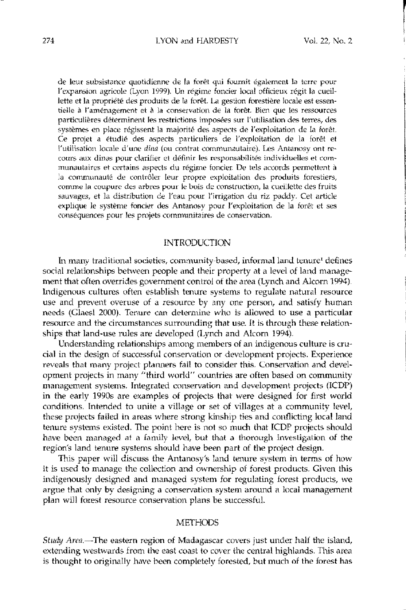de leur subsistance quotidienne de la forêt qui fournit également la terre pour l'expansion agricole (Lyon 1999). Un régime foncier local officieux régit la cueillette et la propriété des produits de la forêt. La gestion forestière locale est essentielle à l'aménagement et à la conservation de la forêt. Bien que les ressources particulières déterminent les restrictions imposées sur l'utilisation des terres, des systèmes en place régissent la majorité des aspects de l'exploitation de la forêt. Ce projet a étudié des aspects particuliers de l'exploitation de la forêt et l'utilisation locale d'une dina (ou contrat communautaire). Les Antanosy ont recours aux dinas pour clarifier et définir les responsabilités individuelles et communautaires et certains aspects du régime foncier. De tels accords permettent à la communauté de contrôler leur propre exploitation des produits forestiers, comme la coupure des arbres pour le bois de construction, la cueillette des fruits sauvages, et la distribution de l'eau pour l'irrigation du riz paddy. Cet article explique le système foncier des Antanosy pour l'exploitation de la forêt et ses conséquences pour les projets communitaires de conservation.

## **INTRODUCTION**

In many traditional societies, community-based, informal land tenure<sup>1</sup> defines social relationships between people and their property at a level of land management that often overrides government control of the area (Lynch and Alcorn 1994). Indigenous cultures often establish tenure systems to regulate natural resource use and prevent overuse of a resource by any one person, and satisfy human needs (Glaesl 2000). Tenure can determine who is allowed to use a particular resource and the circumstances surrounding that use. It is through these relationships that land-use rules are developed (Lynch and Alcorn 1994).

Understanding relationships among members of an indigenous culture is crucial in the design of successful conservation or development projects. Experience reveals that many project planners fail to consider this. Conservation and development projects in many "third world" countries are often based on community management systems. Integrated conservation and development projects (ICDP) in the early 1990s are examples of projects that were designed for first world conditions. Intended to unite a village or set of villages at a community level, these projects failed in areas where strong kinship ties and conflicting local land tenure systems existed. The point here is not so much that ICDP projects should have been managed at a family level, but that a thorough investigation of the region's land tenure systems should have been part of the project design.

This paper will discuss the Antanosy's land tenure system in terms of how it is used to manage the collection and ownership of forest products. Given this indigenously designed and managed system for regulating forest products, we argue that only by designing a conservation system around a local management plan will forest resource conservation plans be successful.

### **METHODS**

Study Area.-The eastern region of Madagascar covers just under half the island, extending westwards from the east coast to cover the central highlands. This area is thought to originally have been completely forested, but much of the forest has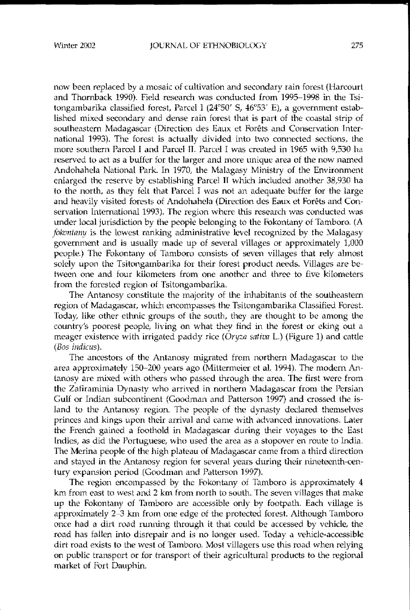now been replaced by a mosaic of cultivation and secondary rain forest (Harcourt and Thornback 1990). Field research was conducted from 1995-1998 in the Tsitongambarika classified forest, Parcel I (24°50' 5, 46'53' E), a government established mixed secondary and dense rain forest that is part of the coastal strip of southeastern Madagascar (Direction des Eaux et Forets and Conservation International 1993). The forest is actually divided into two connected sections. the more southern Parcel I and Parcel II. Parcel I was created in 1965 with 9,530 ha reserved to act as a buffer for the larger and more unique area of the now named Andohahela National Park. In 1970, the Malagasy Ministry of the Environment enlarged the reserve by establishing Parcel II which induded another 38.930 ha to the north, as they felt that Parcel I was not an adequate buffer for the large and heavily visited forests of Andohahela (Direction des Faux et Forets and Conservation International 1993). The region where this research was conducted was under local jurisdiction by the people belonging to the Fokontany of Tamboro. (A *foknntany* is the lowest ranking administrative level recognized by the Malagasy government and is usually made up of several villages or approximately 1,000 people.) The Fokontany of Tamboro consists of seven villages that rely almost solely upon the Tsitongambarika for their forest product needs. Villages are between one and four kilometers from one another and three to five kilometers from the forested region of Tsitongambarika.

The Antanosy constitute the majority of the inhabitants of the southeastern region of Madagascar, which encompasses the Tsitongambarika Classified Forest. Today, like other etlmic groups of the south, they are thought to be among the country's poorest people. living on what they find in the forest or eking out a meager existence with irrigated paddy rice *(Oryza sativa* L) (Figure 1) and cattle (Bos indicus).

The ancestors of the Antanosy migrated from northern Madagascar to the area approximately 150-200 years ago (Mittermeier et al. 1994). The modern Antanosy are mixed wilh others who passed through the area, The first were from the Zafiraminia Dynasty who arrived in northern Madagascar from the Persian Gulf or Indian subcontinent (Goodman and Patterson 1997) and crossed the island to the Antanosy region. The people of the dynasty declared themselves princes and kings upon their arrival and came with advanced innovations. Later the French gained a foothold in Madagascar during their voyages to the East Indies, as did the Portuguese. who used the area as a stopover en route to India. The Merina people of the high plateau of Madagascar came from a third direction and stayed in the Antanosy region for several years during their nineteenth-century expansion period (Goodman and Patterson 1997).

The region encompassed by the Fokontany of Tamboro is approximately 4 km from east to west and 2 km from north to south. The seven villages that make up the Fokontany of Tamboro are accessible only by footpath. Each village is approximately 2-3 km from one edge of the protected forest. Although Tamboro once had a dirt road running through it that could be accessed by vehicle. the road has fallen into disrepair and is no longer used. Today a vehicle-accessible dirt road exists to the west of Tamboro. Most villagers use this road when relying on public transport or for transport of their agricultural products to the regional market of Fort Dauphin.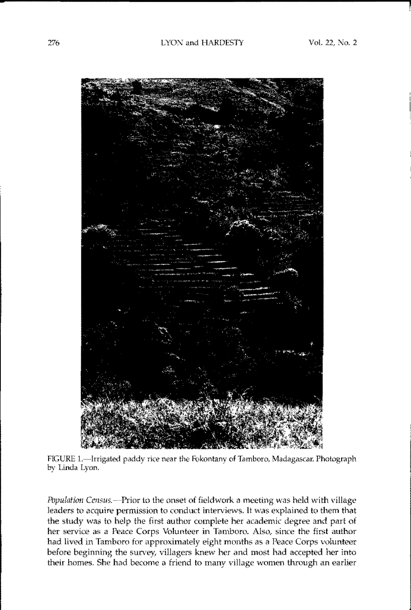

FIGURE 1.-Irrigated paddy rice near the Fokontany of Tamboro, Madagascar. Photograph by Linda Lyon.

Population Census.....-Prior to the onset of fieldwork a meeting was held with village leaders to acquire permission to conduct interviews. It was explained to them that the study was to help the first author complete her academic degree and part of her service as a Peace Corps Volunteer in Tamboro. Also, since the first author had lived in Tamboro for approximately eight months as a Peace Corps volunteer before beginning the survey, villagers knew her and most had accepted her into their homes. She had become a friend to many village women through an earlier

**•**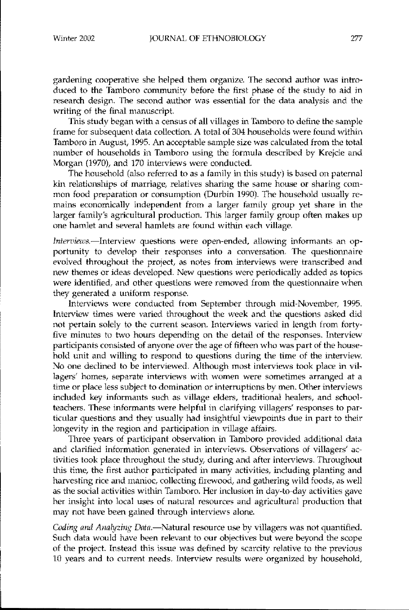gardening cooperative she helped them organize. The second author was introduced to the Tamboro community before the first phase of the study to aid in research design, The second author was essential for the data analysis and the writing of the final manuscript.

This study began with a census of all villages in Tamboro to define the sample frame for subsequent data collection, A total of 304 households were found within Tamboro in August, 1995, An acceptable sample size was calculated from the total number of households in Tamboro using the formula described by Krejcie and Morgan (1970), and 170 interviews were conducted,

The household (also referred to as a family in this study) is based on paternal kin relationships of marriage, relatives sharing the same house or sharing common food preparation or consumption (Durbin 1990), The household usually remains economically independent from a larger family group yet share in the larger family's agricultural production. This larger family group often makes up one hamlet and several hamlets are found within each village,

*lnterviews*,--lnterview questions were open-ended, allowing informants an opportunity to develop their responses into a conversation, The questionnaire evolved throughout the project, as notes from interviews were transcribed and new themes or ideas developed, New questions were periodically added as topics were identified, and other questions were removed from the questionnaire when they generated a uniform response.

Interviews were conducted from September through mid-November, 1995. Interview times were varied throughout the week and the questions asked did not pertain solely to the current season. Interviews varied in length from fortyfive minutes to two hours depending on the detail of the responses. Interview participants consisted of anyone over the age of fifteen who was part of the household unit and willing to respond to questions during the time of the interview. No one declined to be interviewed. Although most interviews took place in villagers' homes, separate interviews with women were sometimes arranged at a time or place less subject to domination or interruptions by men. Other interviews included key informants such as village eIders, traditional healers, and schoolteachers. These informants were helpful in clarifying viIIagers' responses to particular questions and they usually had insightful viewpoints due in part to their longevity in the region and participation in village affairs.

Three years of participant observation in Tamboro provided additional data and clarified information generated in interviews. Observations of villagers' activities took place throughout the study, during and after interviews, Throughout this time, the first author participated in many activities, including planting and harvesting rice and manioc, collecting firewood, and gathering wild foods, as well as the social activities within Tamboro. Her inclusion in day-to-day activities gave her insight into local uses of natural resources and agricultural production that may not have been gained through interviews alone.

*Coding ami Analyzing Data.-Natural* resource use by villagers was not quantified. Such data would have heen relevant to our objectives but were heyond the scope of the project. Instead this issue was defined by scarcity relative to the previous 10 years and to current needs. Interview results were organized by household,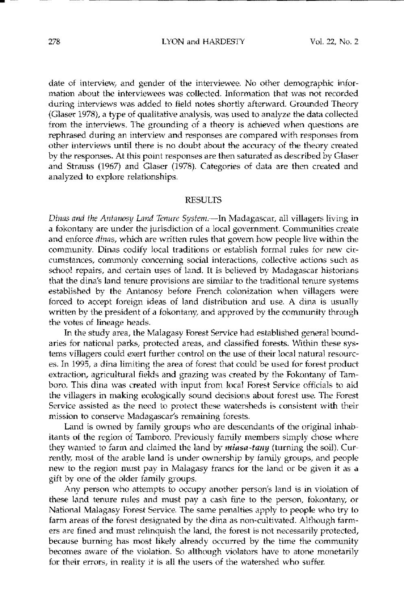date of interview, and gender of the interviewee. No other demographic information about the interviewees was collected. Information that was not recorded during interviews was added to field notes shortly afterward. Grounded Theory (Glaser 1978), a type of qualitative analysis, was used to analyze the data collected from the interviews. The grounding of a theory is achieved when questions are rephrased during an interview and responses are compared with responses from other interviews until there is no doubt about the accuracy of the theory created by the responses. At this point responses are then saturated as described by Glaser and Strauss (1967) and Glaser (1978). Categories of data are then created and analyzed to explore relationships.

### **RESULTS**

*Dinas and the Antanosy Land Tenure System.*-In Madagascar, all villagers living in a fokontany are under the jurisdiction of a local government. Communities create and enforce *dinas,* which are written rules that govern how people live within the community. Dinas codify local traditions or establish formal rules for new cir $current$  **cumstances**, **commonly concerning social** interactions, collective actions such as school repairs, and certain uses of land. It is believed by Madagascar historians that the dina's land tenure provisions are similar to the traditional tenure systems established by the Antanosy before French colonization when villagers were forced to accept foreign ideas of land distribution and use. A dina is usually written by the president of a fokontany, and approved by the community through the votes of lineage heads.

In the study area, the Malagasy Forest Service had established general boundaries for national parks, protected areas, and classified forests. Within these systems villagers could exert further control on the use of their local natural resources. In 1995, a dina limiting the area of forest that could be used for forest product extraction, agricultural fields and grazing was created by the Fokontany of Tamboro. This dina was created with input from local Forest Service officials to aid the villagers in making ecologically sound decisions about forest use. The Forest Service assisted as the need to protect these watersheds is consistent with their **mission to conserve Madagascar's remaining** forests,

Land is owned by family groups who are descendants of the original inhabitants of the region of Tamboro. Previously family members simply chose where they wanted to farm and claimed the land by *miasa-tany* (turning the soil). Currently, most of the arable land is under ownership by family groups, and people new to the region must pay in Malagasy francs for the land or be given it as a gift by one of the older family groups.

Any person who attempts to occupy another person's land is in violation of these land tenure rules and must pay a cash fine to the person, fokontany, or National Malagasy Forest Service. The same penalties apply to people who try to farm areas of the forest designated by the dina as non-cultivated. Although farmers are fined and must relinquish the land, the forest is not necessarily protected, because burning has most likely already occurred by the time the community becomes aware of the violation. So although violators have to atone monetarily for their errors, in reality it is all the users of the watershed who suffer.

-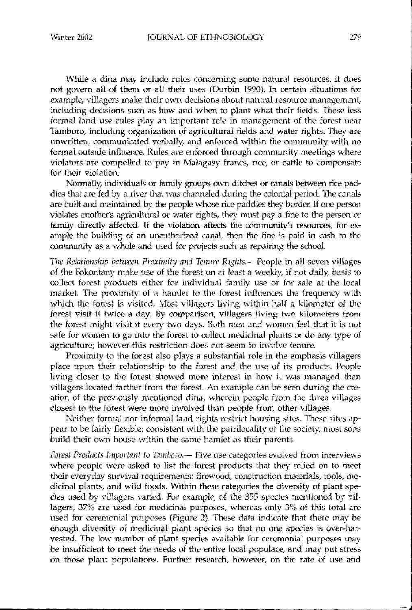While a dina may include rules concerning some natural resources, it does not govern all of them or all their uses (Durbin 1990). In certain situations for example, villagers make their own decisions about natural resource management, including decisions such as how and when to plant what their fields. These less formal land use rules play an important role in management of the forest near Tamboro, including organization of agricultural fields and water rights. They are unwritten<sup>j</sup> communicated verbally, and enforced within the community with no formal outside influence. Rules are enforced through community meetings where violators are compelled to pay in Malagasy francs, rice, or cattle to compensate for their violation.

Normally, individuals or family groups own ditches or canals between rice paddies that are fed by a river that was channeled during the colonial period. The canals are built and maintained by the people whose rice paddies they border. If one person violates another's agricultural or water rights, they must pay a fine to the person or family directly affected. If the violation affects the community's resources, for example fhe building of an unaufhorized canal, fhen the fine is paid in cash to the community as a whole and used for projects such as repairing the schooL

*The Relationship between Proximity and Tenure Rishts.-··*People in all seven villages of the Fokontany make use of the forest on at least a weekly, if not daily, basis to collect forest products either for individual family use or for sale at the local market. The proximity of a hamlet to the forest influences fhe frequency with which the forest is visited. Most villagers living within half a kilometer of the forest visit it twice a day. By comparison, villagers living two kilometers from the forest might visit it every two days. Both men and women feel that it is not safe for women to go into the forest to collect medicinal plants or do any type of agriculture; however this restriction does not seem to involve tenure.

Proximity to the forest also plays a substantial role in the emphasis villagers place upon their relationship to the forest and the use of its products. People living closer to the forest showed more interest in how it was managed fhan villagers located farther from the forest. An example can be seen during the creation of the previously mentioned dina, wherein people from the three villages closest to the forest were more involved than people from other villages.

Neither formal nor informal land rights restrict housing sites. These sites appear to be fairly flexible; consistent with the patrilocality of the society, most sons build their own house within the same hamlet as their parents.

Forest Products Important to Tamboro.-- Five use categories evolved from interviews where people were asked to list the forest products that they relied on to meet their everyday survival requirements: firewood, construction materials, tools, me· dicinal plants, and wild foods. Within these categories the diversity of plant spe· cies used by villagers varied. For example, of the 355 species mentioned by villagers, 37% are used for medicinal purposes, whereas only 3% of this total are used for ceremonial purposes (Figure 2). These data indicate that there may be enough diversity of medicinal plant species so fhat no one species is over-har· vested. The low number of plant species available for ceremonial purposes may be insufficient to meet fhe needs of the entire local populace, and may put stress on those plant populations. Further research, however, on the rate of use and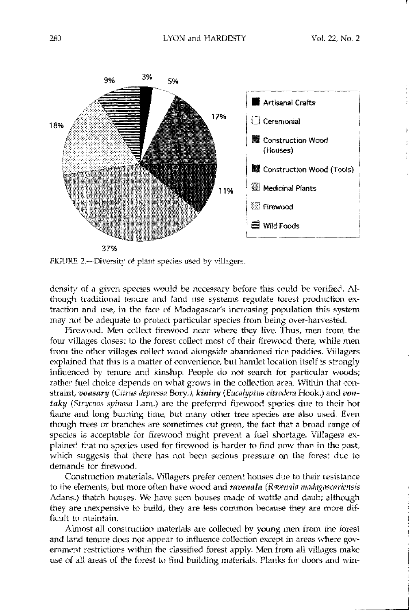

FIGURE 2.-Diversity of plant species used by villagers.

density of a given species would be necessary before this could be verified, AI· though traditional tenure and land use systems regulate forest production extraction and use, in the face of Madagascar's increasing population this system may not be adequate to protect particular species from being over-harvested.

Firewood. Men collect firewood near where they live. Thus, men from the four villages closest to the forest collect most of their firewood there, while men from the other villages collect wood alongside abandoned rice paddies. Villagers explained that this is a matter of convenience, but hamlet location itself is strongly influenced by tenure and kinship, People do not search for particular woods; rather fuel choice depends on what grows in the collection area. WIthin that constraint, *voasary* (Citrus depressa Bory.), kininy (Eucalyptus citrodera Hook.) and von*taky (Strycnos spinosa* Lam.) are the preferred firewood species due to their hot flame and long burning time, but many other tree species are also used. Even though trees or branches are sometimes cut green, the fact that a broad range of species is acceptable for firewood might prevent a fuel shortage. Villagers explained that no species used for firewood is harder to find now than in the past which suggests that there has not been serious pressure on the forest due to demands for firewood.

Construction materials. Villagers prefer cement houses due to their resistance to the elements, but more often have wood and *ravenala* (Raxenala *madagascariensis* Adans.) thatch houses. We have seen houses made of wattle and daub; although they are inexpensive to build, they are less common because they are more difficult to maintain.

Almost all construction materials are collected by young men from the forest and land tenure does not appear to influence collection except in areas where government restrictions within the classified forest apply. Men from all villages make use of all areas of the forest to find building materials. Planks for doors and win·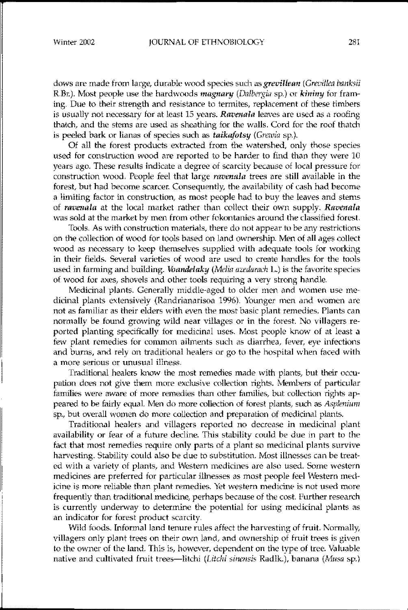dows are made from large, durable wood species such as *grevillean* (Grevillea *banks;i* RBr.). Most people use the hardwoods *magnary (Da/bergiu* sp.) or *kininy* for framing. Due to their strength and resistance to termites, replacement of these timbers is usually not necessary for at least 15 years. *Ravenala* leaves are used as a roofing thatch, and the stems are used as sheathing for the walls. Cord for the roof thatch is peeled bark or Iianas of species such as *taikafotsy (Grewia* sp.).

Of all the forest products extracted from the watershed, only those species used for construction wood are reported to be harder to find than they were 10 years ago. These results indicate a degree of scarcity because of local pressure for construction wood. People feel that large *ravenala* trees are still available in the forest, but had become scarcer. Consequently, the availability of cash had become a limiting factor in construction, as most people had to buy the leaves and stems of *ravenala* at the local market rather than collect their own supply. *Ravenala* was sold at the market by men from other fokontanies around the classified forest.

Tbols. As with construction materials, there do not appear to be any restrictions on the collection of wood for tools based on land ownership. Men of all ages collect wood as necessary to keep themselves supplied with adequate tools for working in their fields. Several varieties of wood are used to create handles for the tools used in farming and building. *Voandelaky (Melia azedarach L.)* is the favorite species of wood for axes, shovels and other tools requiring a very strong handle.

Medicinal plants. General1y middle-aged to older men and women use medicinal plants extensively (Randrianarisoa 1996). 'lounger men and women are not as familiar as their elders with even the most basic plant remedies. Plants can normally be found growing wild near villages or in the forest. No villagers reported planting specifically for medicinal uses. Most people know of at least a few plant remedies for common ailments such as diarrhea, fever, eye infections and burns, and rely on traditional healers or go to the hospital when faced with a more serious or **unusual** illness.

Traditional healers know the most remedies made with plants, but their occupation does not give them more exclusive collection rights. Members of particular families were aware of more remedies than other families, but collection rights appeared to be fairly equal. Men do more oollection of forest plants, such as *Asp/enium* sp., but overall women do more collection and preparation of medicinal plants.

Traditional healers and villagers reported no decrease in medicinal plant availability or fear of a future decline. This stability could be due in part to the fact that most remedies require only parts of a plant so medicinal plants survive harvesting. Stability could also be due to substitution. Most illnesses can be treated with a variety of plants, and Western medicines are also used. Some western medicines are preferred for particular illnesses as most people feel Western medicine is more reliable than plant remedies. Yet western medicine is not used more frequently than traditional medicine, perhaps because of the cost. Further research is currently underway to determine the potential for using medicinal plants as an indicator for forest product scarcity.

Wild foods. Informal land tenure rules affect the harvesting of fruit. Normally, villagers only plant trees on their own land, and ownership of fruit trees is given to the owner of the land. This is, however, dependent on the type of tree. Valuable native and cultivated fruit trees-litchi *(Litchi sinensis Radlk.)*, banana *(Musa sp.)*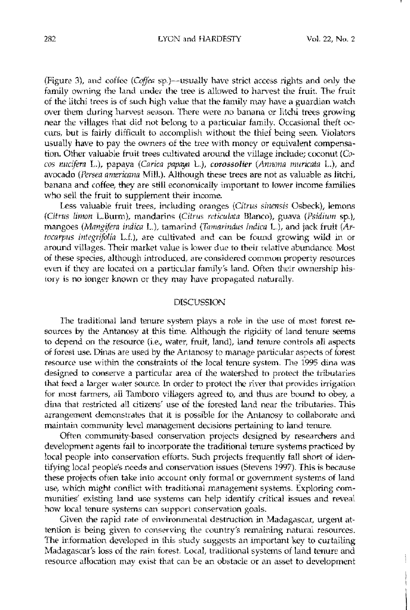(Figure 3), and coffee *(Coffea sp.)*—usually have strict access rights and only the family owning the land under the tree is allowed to harvest the fruit. The fruit of the litchi trees is of such high value that the family may have a guardian watch over them during harvest season. There were no banana or litchi trees growing near the villages that did not belong to a particular family. Occasional theft occurs, but is fairly difficult to accomplish without the thief being seen. Violators usually have to pay the owners of the tree with money or equivalent compensation. Other valuable fruit trees cultivated around the village indude; coconut (Co*cos nucifera* L.), papaya *(Carica papaya L.), corossolier (Annona muricata L.), and* avocado *(Persea americana* Milt). Although these trees are not as valuable as litchi, banana and coffee, they are still economically important to lower income families who sell the fruit to supplement their income.

Less valuable fruit trees. induding oranges (Citrus *sinensis* Osbeck), lemons *(Citrus limon* L.Burm), mandarins *(Citrus reth:ulaia* Blanco), guava *(Psidium* sp.), mmgO€s*(lvlangifera indica* L.), tamarind *(Tamarindus* indira L.), and jack fruit *(Artocarpus integrifolia* L.t.), are cultivated and can be found growing wild in or around villages. Their market value is lower due to their relative abundance. Most of these species, although introduced, are considered common property resources even if they are located on a particular family's land. Often their ownership history is no longer known or they may have propagated naturally.

#### DISCUSSION

The traditional land tenure system plays a role in the use of most forest resources by the Antanosy at this time. Although the rigidity of land tenure seems to depend on the resource (i.e., water, fruit, land), land tenure controls all aspects of forest use. Dinas are used by the Antanosy to manage particular aspects of forest resource use within the constraints of the local tenure system. The 1995 dina was designed to conserve a particular area of the watershed to protect the tributaries that feed a larger water source. In order to protect the river that provides irrigation for most farmers, all Tamboro villagers agreed to, and thus are bound to obey, a dina that restricted all citizens' use of the forested land near the tributaries. This arrangement demenstrates that it is possible for the Antanosy to collaborate and  $m$ aintain community level management decisions pertaining to land tenure.

Often community-based conservation projects designed by researchers and development agents fail to incorporate the traditional tenure systems practiced by local people into conservation efforts. Such projects frequently fall short of identifying local people's needs and conservation issues (Stevens 1997). This is because these projects often take into account only formal or government systems of land use, which might conflict with traditional management systems. Exploring communities' existing land use systems can help identify critical issues and reveal **how local tenure systems can support conservation goals.**

Given the rapid rate of environmental destruction in Madagascar, urgent at· **tention is being given to conserving the cotmtry's remaining natural resources,** The information developed in this study suggests an important key to curtailing Madagascar's loss of the rain forest. Local, traditional systems of land tenure and resource allocation may exist that can be an obstacle or an asset to development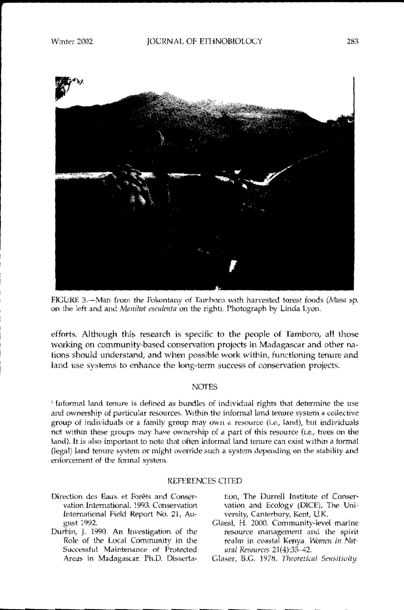

FIGURE 3.-Man from the Fokontany of Tamboro with harvested forest foods (Musa sp. on the left and and Menihot esculenta on the right). Photograph by Linda Lyon.

efforts. Although this research is specific to the people of Tamboro, all those working on community-based conservation projects in Madagascar and other nations should understand, and when possible work within, functioning tenure and land use systems to enhance the long-term success of conservation projects.

### **NOTES**

<sup>1</sup> Informal land tenure is defined as bundles of individual rights that determine the use and ownership of particular resources. Within the informal land tenure system a collective group of individuals or a family group may own a resource (i.e., land), but individuals not within these groups may have ownership of a part of this resource (i.e., trees on the land). It is also important to note that often informal land tenure can exist within a formal (legal) land tenure system or might override such a system depending on the stability and enforcement of the formal system.

#### REFERENCES CITED

- Direction des Eaux et Forêts and Conservation International. 1993. Conservation International Field Report No. 21, August 1992.
- Durbin, J. 1990. An Investigation of the Role of the Local Community in the Successful Maintenance of Protected Areas in Madagascar. Ph.D. Disserta-

tion, The Durrell Institute of Conservation and Ecology (DICE), The University, Canterbury, Kent, U.K.

Glaesl, H. 2000. Community-level marine resource management and the spirit realm in coastal Kenya. Women in Natural Resources 21(4):35-42.

Glaser, B.G. 1978. Theoretical Sensitivity.